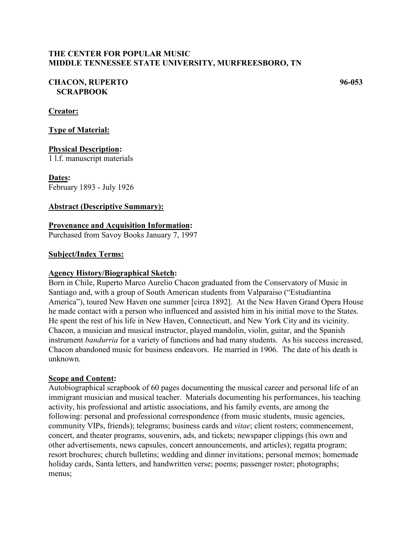# **THE CENTER FOR POPULAR MUSIC MIDDLE TENNESSEE STATE UNIVERSITY, MURFREESBORO, TN**

# **CHACON, RUPERTO 96-053 SCRAPBOOK**

### **Creator:**

**Type of Material:**

### **Physical Description:**

1 l.f. manuscript materials

**Dates:** February 1893 - July 1926

#### **Abstract (Descriptive Summary):**

### **Provenance and Acquisition Information:**

Purchased from Savoy Books January 7, 1997

#### **Subject/Index Terms:**

#### **Agency History/Biographical Sketch:**

Born in Chile, Ruperto Marco Aurelio Chacon graduated from the Conservatory of Music in Santiago and, with a group of South American students from Valparaiso ("Estudiantina America"), toured New Haven one summer [circa 1892]. At the New Haven Grand Opera House he made contact with a person who influenced and assisted him in his initial move to the States. He spent the rest of his life in New Haven, Connecticutt, and New York City and its vicinity. Chacon, a musician and musical instructor, played mandolin, violin, guitar, and the Spanish instrument *bandurria* for a variety of functions and had many students. As his success increased, Chacon abandoned music for business endeavors. He married in 1906. The date of his death is unknown.

#### **Scope and Content:**

Autobiographical scrapbook of 60 pages documenting the musical career and personal life of an immigrant musician and musical teacher. Materials documenting his performances, his teaching activity, his professional and artistic associations, and his family events, are among the following: personal and professional correspondence (from music students, music agencies, community VIPs, friends); telegrams; business cards and *vitae*; client rosters; commencement, concert, and theater programs, souvenirs, ads, and tickets; newspaper clippings (his own and other advertisements, news capsules, concert announcements, and articles); regatta program; resort brochures; church bulletins; wedding and dinner invitations; personal memos; homemade holiday cards, Santa letters, and handwritten verse; poems; passenger roster; photographs; menus;